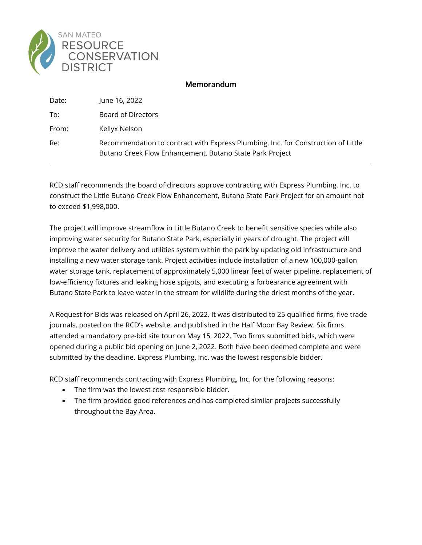

## Memorandum

| Date: | June 16, 2022                                                                                                                                 |
|-------|-----------------------------------------------------------------------------------------------------------------------------------------------|
| To:   | Board of Directors                                                                                                                            |
| From: | Kellyx Nelson                                                                                                                                 |
| Re:   | Recommendation to contract with Express Plumbing, Inc. for Construction of Little<br>Butano Creek Flow Enhancement, Butano State Park Project |

RCD staff recommends the board of directors approve contracting with Express Plumbing, Inc. to construct the Little Butano Creek Flow Enhancement, Butano State Park Project for an amount not to exceed \$1,998,000.

The project will improve streamflow in Little Butano Creek to benefit sensitive species while also improving water security for Butano State Park, especially in years of drought. The project will improve the water delivery and utilities system within the park by updating old infrastructure and installing a new water storage tank. Project activities include installation of a new 100,000-gallon water storage tank, replacement of approximately 5,000 linear feet of water pipeline, replacement of low-efficiency fixtures and leaking hose spigots, and executing a forbearance agreement with Butano State Park to leave water in the stream for wildlife during the driest months of the year.

A Request for Bids was released on April 26, 2022. It was distributed to 25 qualified firms, five trade journals, posted on the RCD's website, and published in the Half Moon Bay Review. Six firms attended a mandatory pre-bid site tour on May 15, 2022. Two firms submitted bids, which were opened during a public bid opening on June 2, 2022. Both have been deemed complete and were submitted by the deadline. Express Plumbing, Inc. was the lowest responsible bidder.

RCD staff recommends contracting with Express Plumbing, Inc. for the following reasons:

- The firm was the lowest cost responsible bidder.
- The firm provided good references and has completed similar projects successfully throughout the Bay Area.